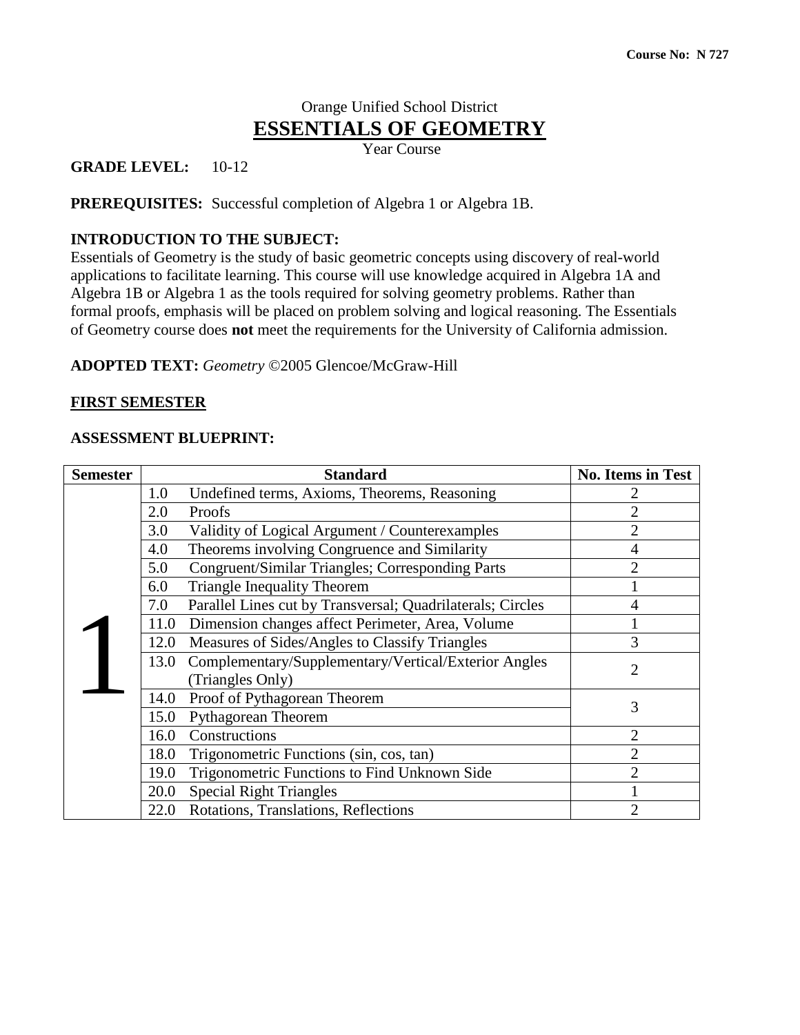# Orange Unified School District **ESSENTIALS OF GEOMETRY**

Year Course

**GRADE LEVEL:** 10-12

**PREREQUISITES:** Successful completion of Algebra 1 or Algebra 1B.

### **INTRODUCTION TO THE SUBJECT:**

Essentials of Geometry is the study of basic geometric concepts using discovery of real-world applications to facilitate learning. This course will use knowledge acquired in Algebra 1A and Algebra 1B or Algebra 1 as the tools required for solving geometry problems. Rather than formal proofs, emphasis will be placed on problem solving and logical reasoning. The Essentials of Geometry course does **not** meet the requirements for the University of California admission.

**ADOPTED TEXT:** *Geometry* ©2005 Glencoe/McGraw-Hill

#### **FIRST SEMESTER**

#### **ASSESSMENT BLUEPRINT:**

| <b>Semester</b> |      | <b>Standard</b>                                            | <b>No. Items in Test</b> |
|-----------------|------|------------------------------------------------------------|--------------------------|
|                 | 1.0  | Undefined terms, Axioms, Theorems, Reasoning               |                          |
|                 | 2.0  | Proofs                                                     |                          |
|                 | 3.0  | Validity of Logical Argument / Counterexamples             | $\overline{2}$           |
|                 | 4.0  | Theorems involving Congruence and Similarity               | 4                        |
|                 | 5.0  | Congruent/Similar Triangles; Corresponding Parts           | $\mathfrak{D}$           |
|                 | 6.0  | <b>Triangle Inequality Theorem</b>                         |                          |
|                 | 7.0  | Parallel Lines cut by Transversal; Quadrilaterals; Circles |                          |
|                 | 11.0 | Dimension changes affect Perimeter, Area, Volume           |                          |
|                 | 12.0 | Measures of Sides/Angles to Classify Triangles             | 3                        |
|                 | 13.0 | Complementary/Supplementary/Vertical/Exterior Angles       | $\overline{2}$           |
|                 |      | (Triangles Only)                                           |                          |
|                 | 14.0 | Proof of Pythagorean Theorem                               | 3                        |
|                 | 15.0 | Pythagorean Theorem                                        |                          |
|                 | 16.0 | Constructions                                              | $\overline{2}$           |
|                 | 18.0 | Trigonometric Functions (sin, cos, tan)                    | $\overline{2}$           |
|                 | 19.0 | Trigonometric Functions to Find Unknown Side               | $\overline{2}$           |
|                 | 20.0 | <b>Special Right Triangles</b>                             |                          |
|                 | 22.0 | Rotations, Translations, Reflections                       | $\overline{2}$           |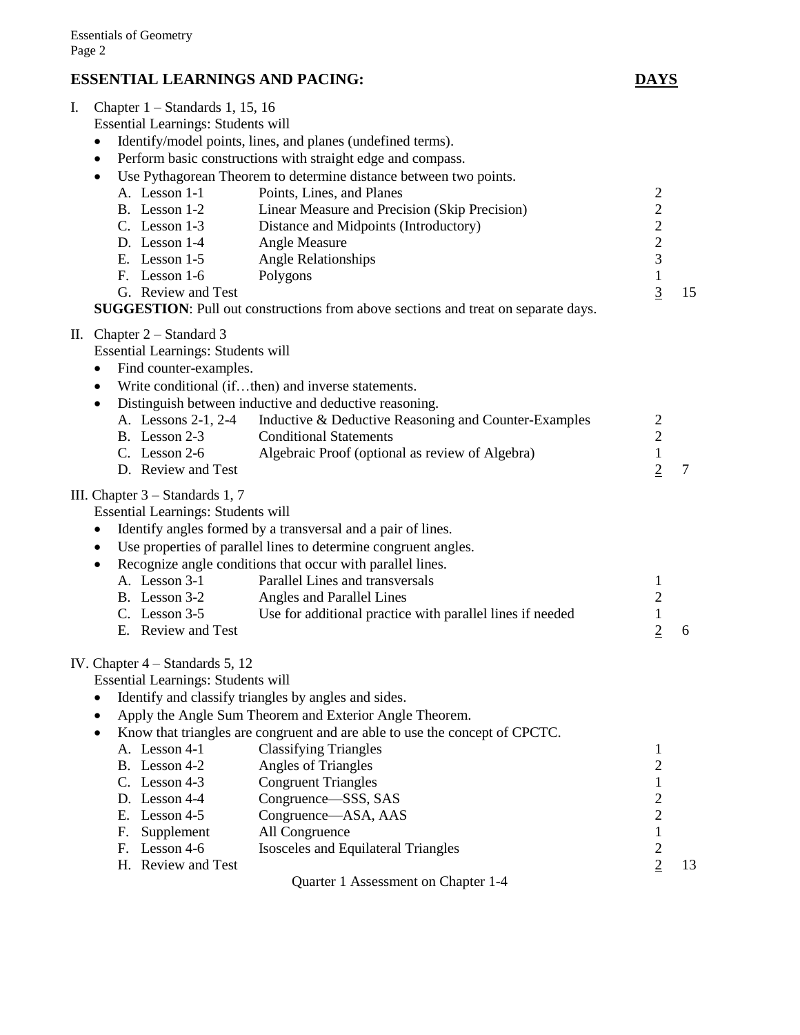# **ESSENTIAL LEARNINGS AND PACING: DAYS**

| I. | Chapter $1 -$ Standards 1, 15, 16         |                                                                                    |                |                |
|----|-------------------------------------------|------------------------------------------------------------------------------------|----------------|----------------|
|    | <b>Essential Learnings: Students will</b> |                                                                                    |                |                |
|    | ٠                                         | Identify/model points, lines, and planes (undefined terms).                        |                |                |
|    | $\bullet$                                 | Perform basic constructions with straight edge and compass.                        |                |                |
|    | $\bullet$                                 | Use Pythagorean Theorem to determine distance between two points.                  |                |                |
|    | A. Lesson 1-1                             | Points, Lines, and Planes                                                          | $\overline{c}$ |                |
|    | B. Lesson 1-2                             | Linear Measure and Precision (Skip Precision)                                      | $\overline{c}$ |                |
|    | $C.$ Lesson 1-3                           | Distance and Midpoints (Introductory)                                              | $\overline{c}$ |                |
|    | D. Lesson 1-4                             | Angle Measure                                                                      | $\overline{c}$ |                |
|    | E. Lesson $1-5$                           | <b>Angle Relationships</b>                                                         | $\overline{3}$ |                |
|    | F. Lesson 1-6                             | Polygons                                                                           | $\mathbf 1$    |                |
|    | G. Review and Test                        |                                                                                    | $\overline{3}$ | 15             |
|    |                                           | SUGGESTION: Pull out constructions from above sections and treat on separate days. |                |                |
|    | II. Chapter $2 - Standard 3$              |                                                                                    |                |                |
|    | <b>Essential Learnings: Students will</b> |                                                                                    |                |                |
|    | Find counter-examples.<br>٠               |                                                                                    |                |                |
|    | $\bullet$                                 | Write conditional (ifthen) and inverse statements.                                 |                |                |
|    | $\bullet$                                 | Distinguish between inductive and deductive reasoning.                             |                |                |
|    | A. Lessons 2-1, 2-4                       | Inductive & Deductive Reasoning and Counter-Examples                               | $\overline{c}$ |                |
|    | B. Lesson 2-3                             | <b>Conditional Statements</b>                                                      | $\overline{c}$ |                |
|    | C. Lesson $2-6$                           | Algebraic Proof (optional as review of Algebra)                                    | $\,1$          |                |
|    | D. Review and Test                        |                                                                                    | $\overline{2}$ | $\overline{7}$ |
|    | III. Chapter $3 -$ Standards 1, 7         |                                                                                    |                |                |
|    | Essential Learnings: Students will        |                                                                                    |                |                |
|    | $\bullet$                                 | Identify angles formed by a transversal and a pair of lines.                       |                |                |
|    | $\bullet$                                 | Use properties of parallel lines to determine congruent angles.                    |                |                |
|    | $\bullet$                                 | Recognize angle conditions that occur with parallel lines.                         |                |                |
|    | A. Lesson 3-1                             | Parallel Lines and transversals                                                    | 1              |                |
|    | B. Lesson 3-2                             | Angles and Parallel Lines                                                          | $\overline{c}$ |                |
|    | C. Lesson $3-5$                           | Use for additional practice with parallel lines if needed                          | $\,1$          |                |
|    | E. Review and Test                        |                                                                                    | $\overline{2}$ | 6              |
|    |                                           |                                                                                    |                |                |
|    | IV. Chapter $4 - Standards$ 5, 12         |                                                                                    |                |                |
|    | <b>Essential Learnings: Students will</b> |                                                                                    |                |                |
|    |                                           | Identify and classify triangles by angles and sides.                               |                |                |
|    |                                           | Apply the Angle Sum Theorem and Exterior Angle Theorem.                            |                |                |
|    | $\bullet$                                 | Know that triangles are congruent and are able to use the concept of CPCTC.        |                |                |
|    | A. Lesson 4-1                             | <b>Classifying Triangles</b>                                                       | 1              |                |
|    | B. Lesson 4-2                             | Angles of Triangles                                                                | $\overline{2}$ |                |
|    | C. Lesson $4-3$                           | <b>Congruent Triangles</b>                                                         | $\mathbf{1}$   |                |
|    | D. Lesson 4-4                             | Congruence—SSS, SAS                                                                | $\overline{c}$ |                |
|    | Lesson 4-5<br>Е.                          | Congruence—ASA, AAS                                                                | $\overline{c}$ |                |
|    | Supplement<br>F.                          | All Congruence                                                                     | $\,1$          |                |
|    | Lesson 4-6<br>F.                          | Isosceles and Equilateral Triangles                                                | $\overline{c}$ |                |
|    | H. Review and Test                        |                                                                                    | $\overline{2}$ | 13             |
|    |                                           | Quarter 1 Assessment on Chapter 1-4                                                |                |                |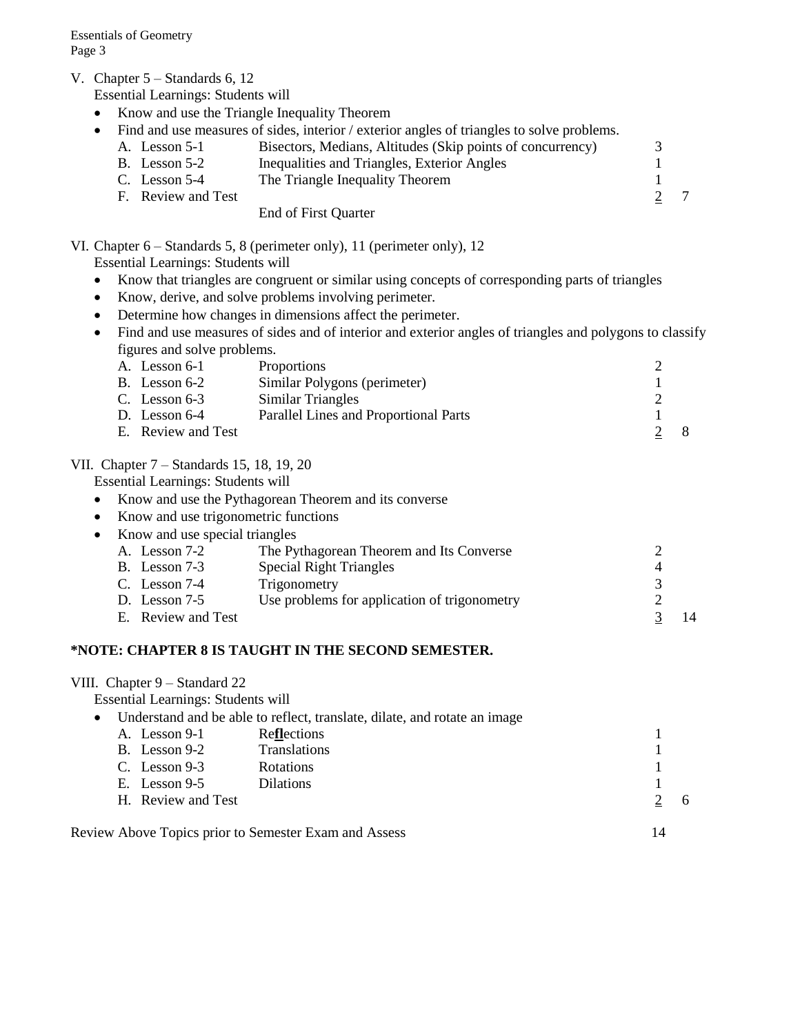V. Chapter 5 – Standards 6, 12

Essential Learnings: Students will

- Know and use the Triangle Inequality Theorem
- Find and use measures of sides, interior / exterior angles of triangles to solve problems.

| A. Lesson 5-1   | Bisectors, Medians, Altitudes (Skip points of concurrency) |  |
|-----------------|------------------------------------------------------------|--|
| $B.$ Lesson 5-2 | Inequalities and Triangles, Exterior Angles                |  |
| C. Lesson $5-4$ | The Triangle Inequality Theorem                            |  |

E. Lesson 5-4 The Triangle mequanty Theorem<br>F. Review and Test  $\frac{2}{2}$  7

#### End of First Quarter

#### VI. Chapter 6 – Standards 5, 8 (perimeter only), 11 (perimeter only), 12

Essential Learnings: Students will

- Know that triangles are congruent or similar using concepts of corresponding parts of triangles
- Know, derive, and solve problems involving perimeter.
- Determine how changes in dimensions affect the perimeter.
- Find and use measures of sides and of interior and exterior angles of triangles and polygons to classify figures and solve problems.

| A. Lesson 6-1      | <b>Proportions</b>                    |    |
|--------------------|---------------------------------------|----|
| B. Lesson 6-2      | Similar Polygons (perimeter)          |    |
| C. Lesson $6-3$    | Similar Triangles                     |    |
| D. Lesson $6-4$    | Parallel Lines and Proportional Parts |    |
| E. Review and Test |                                       | -8 |

#### VII. Chapter 7 – Standards 15, 18, 19, 20

Essential Learnings: Students will

- Know and use the Pythagorean Theorem and its converse
- Know and use trigonometric functions
- Know and use special triangles A. Lesson 7-2 The Pythagorean Theorem and Its Converse 2 B. Lesson 7-3 Special Right Triangles 4 C. Lesson 7-4 Trigonometry<br>
D. Lesson 7-5 Use problems for application of trigonometry 2 D. Lesson 7-5 Use problems for application of trigonometry
	- E. Review and Test 3 14

#### **\*NOTE: CHAPTER 8 IS TAUGHT IN THE SECOND SEMESTER.**

#### VIII. Chapter 9 – Standard 22

Essential Learnings: Students will

| $\bullet$ |                    | Understand and be able to reflect, translate, dilate, and rotate an image |   |
|-----------|--------------------|---------------------------------------------------------------------------|---|
|           | A. Lesson 9-1      | Reflections                                                               |   |
|           | B. Lesson 9-2      | <b>Translations</b>                                                       |   |
|           | C. Lesson $9-3$    | <b>Rotations</b>                                                          |   |
|           | E. Lesson $9-5$    | <b>Dilations</b>                                                          |   |
|           | H. Review and Test |                                                                           | 6 |
|           |                    |                                                                           |   |
|           |                    | Review Above Topics prior to Semester Exam and Assess                     |   |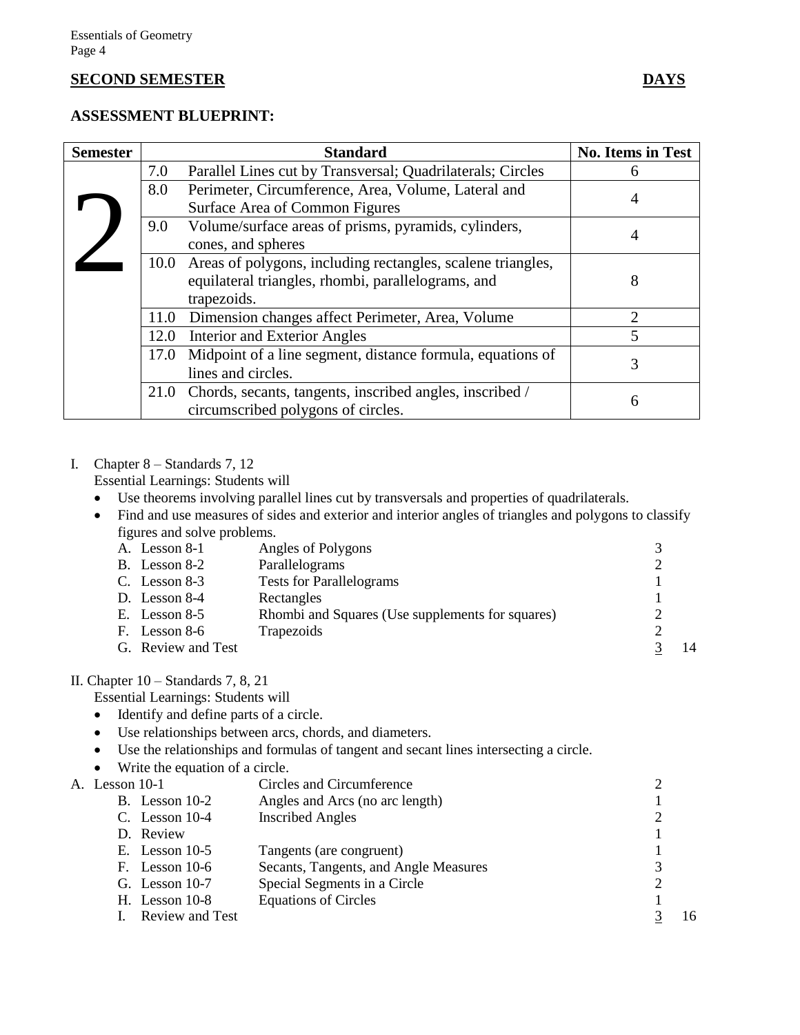#### **SECOND SEMESTER DAYS**

#### **ASSESSMENT BLUEPRINT:**

| <b>Semester</b> |      | <b>Standard</b>                                                  | <b>No. Items in Test</b> |
|-----------------|------|------------------------------------------------------------------|--------------------------|
|                 | 7.0  | Parallel Lines cut by Transversal; Quadrilaterals; Circles       | 6                        |
|                 | 8.0  | Perimeter, Circumference, Area, Volume, Lateral and              |                          |
|                 |      | Surface Area of Common Figures                                   | 4                        |
|                 | 9.0  | Volume/surface areas of prisms, pyramids, cylinders,             | 4                        |
|                 |      | cones, and spheres                                               |                          |
|                 |      | 10.0 Areas of polygons, including rectangles, scalene triangles, |                          |
|                 |      | equilateral triangles, rhombi, parallelograms, and               | 8                        |
|                 |      | trapezoids.                                                      |                          |
|                 | 11.0 | Dimension changes affect Perimeter, Area, Volume                 |                          |
|                 | 12.0 | <b>Interior and Exterior Angles</b>                              | 5                        |
|                 | 17.0 | Midpoint of a line segment, distance formula, equations of       | 3                        |
|                 |      | lines and circles.                                               |                          |
|                 |      | 21.0 Chords, secants, tangents, inscribed angles, inscribed /    | $\mathsf{\Omega}$        |
|                 |      | circumscribed polygons of circles.                               |                          |

#### I. Chapter 8 – Standards 7, 12

Essential Learnings: Students will

- Use theorems involving parallel lines cut by transversals and properties of quadrilaterals.
- Find and use measures of sides and exterior and interior angles of triangles and polygons to classify figures and solve problems.

| A. Lesson 8-1      | Angles of Polygons                               |    |
|--------------------|--------------------------------------------------|----|
| B. Lesson 8-2      | Parallelograms                                   |    |
| C. Lesson $8-3$    | <b>Tests for Parallelograms</b>                  |    |
| D. Lesson 8-4      | Rectangles                                       |    |
| E. Lesson $8-5$    | Rhombi and Squares (Use supplements for squares) |    |
| F. Lesson 8-6      | Trapezoids                                       |    |
| G. Review and Test |                                                  | 14 |
|                    |                                                  |    |

#### II. Chapter 10 – Standards 7, 8, 21

Essential Learnings: Students will

- Identify and define parts of a circle.
- Use relationships between arcs, chords, and diameters.
- Use the relationships and formulas of tangent and secant lines intersecting a circle.
- Write the equation of a circle.
- A. Lesson 10-1 Circles and Circumference 2 B. Lesson 10-2 Angles and Arcs (no arc length) 1 C. Lesson 10-4 Inscribed Angles 2 D. Review 1 E. Lesson 10-5 Tangents (are congruent) 1 F. Lesson 10-6 Secants, Tangents, and Angle Measures 3<br>
G. Lesson 10-7 Special Segments in a Circle 2 G. Lesson 10-7 Special Segments in a Circle H. Lesson 10-8 Equations of Circles 1 I. Review and Test 3 16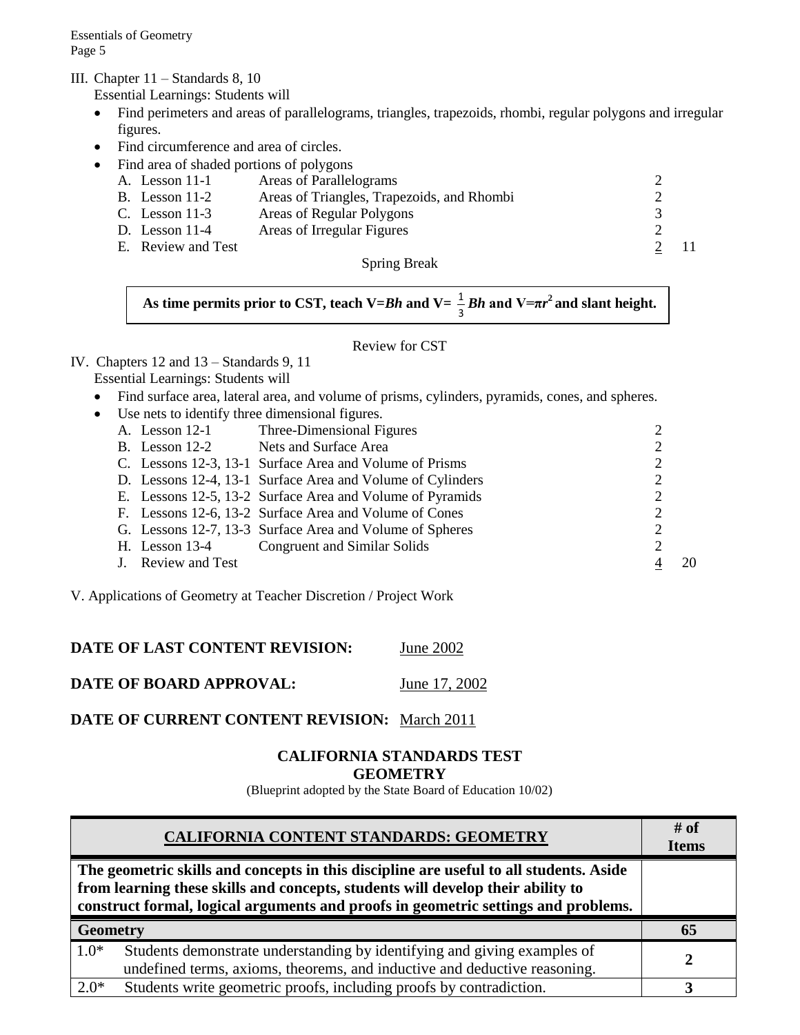III. Chapter 11 – Standards 8, 10

Essential Learnings: Students will

- Find perimeters and areas of parallelograms, triangles, trapezoids, rhombi, regular polygons and irregular figures.
- Find circumference and area of circles.
	- Find area of shaded portions of polygons
	- A. Lesson 11-1 Areas of Parallelograms 2<br>
	B. Lesson 11-2 Areas of Triangles, Trapezoids, and Rhombi 2 B. Lesson 11-2 Areas of Triangles, Trapezoids, and Rhombi C. Lesson 11-3 Areas of Regular Polygons 3 D. Lesson 11-4 Areas of Irregular Figures 2 E. Review and Test 2 11

Spring Break

**As time permits prior to CST, teach V=***Bh* **and V=**  3  $\frac{1}{2} Bh$  and  $V = \pi r^2$  and slant height.

#### Review for CST

# IV. Chapters 12 and 13 – Standards 9, 11

- Essential Learnings: Students will
- Find surface area, lateral area, and volume of prisms, cylinders, pyramids, cones, and spheres.
- Use nets to identify three dimensional figures.

|  | A. Lesson 12-1     | Three-Dimensional Figures                                  |                |  |
|--|--------------------|------------------------------------------------------------|----------------|--|
|  | B. Lesson $12-2$   | Nets and Surface Area                                      | $\overline{2}$ |  |
|  |                    | C. Lessons 12-3, 13-1 Surface Area and Volume of Prisms    | 2              |  |
|  |                    | D. Lessons 12-4, 13-1 Surface Area and Volume of Cylinders | 2              |  |
|  |                    | E. Lessons 12-5, 13-2 Surface Area and Volume of Pyramids  | $\overline{2}$ |  |
|  |                    | F. Lessons 12-6, 13-2 Surface Area and Volume of Cones     | 2              |  |
|  |                    | G. Lessons 12-7, 13-3 Surface Area and Volume of Spheres   | 2              |  |
|  |                    | H. Lesson 13-4 Congruent and Similar Solids                | 2              |  |
|  | J. Review and Test |                                                            |                |  |
|  |                    |                                                            |                |  |

V. Applications of Geometry at Teacher Discretion / Project Work

## **DATE OF LAST CONTENT REVISION:** June 2002

**DATE OF BOARD APPROVAL:** June 17, 2002

## **DATE OF CURRENT CONTENT REVISION:** March 2011

#### **CALIFORNIA STANDARDS TEST GEOMETRY**

(Blueprint adopted by the State Board of Education 10/02)

| CALIFORNIA CONTENT STANDARDS: GEOMETRY                                                                                                                                                                                                                          | # of<br><b>Items</b> |
|-----------------------------------------------------------------------------------------------------------------------------------------------------------------------------------------------------------------------------------------------------------------|----------------------|
| The geometric skills and concepts in this discipline are useful to all students. Aside<br>from learning these skills and concepts, students will develop their ability to<br>construct formal, logical arguments and proofs in geometric settings and problems. |                      |
| <b>Geometry</b>                                                                                                                                                                                                                                                 |                      |
| $1.0*$<br>Students demonstrate understanding by identifying and giving examples of<br>undefined terms, axioms, theorems, and inductive and deductive reasoning.                                                                                                 |                      |
| $2.0*$<br>Students write geometric proofs, including proofs by contradiction.                                                                                                                                                                                   |                      |